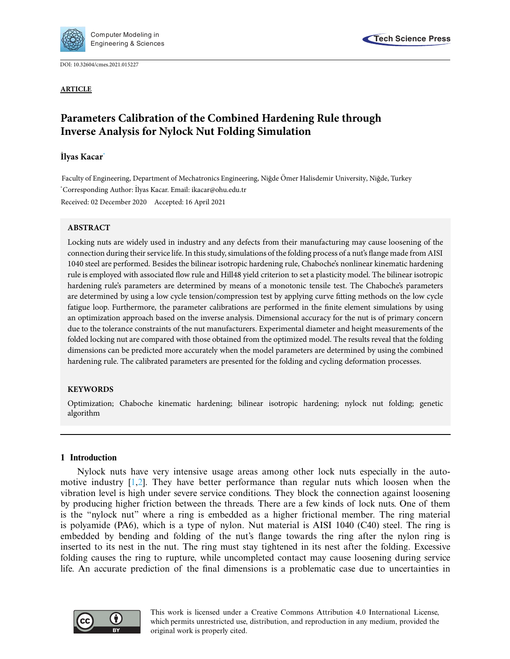

DOI: [10.32604/cmes.2021.015227](http://dx.doi.org/10.32604/cmes.2021.015227)

**ARTICLE**



# **Parameters Calibration of the Combined Hardening Rule through Inverse Analysis for Nylock Nut Folding Simulation**

# **Ilyas Kacar** ˙ **[\\*](#page-0-0)**

<span id="page-0-0"></span>Faculty of Engineering, Department of Mechatronics Engineering, Niğde Ömer Halisdemir University, Niğde, Turkey \* Corresponding Author: ˙ Ilyas Kacar. Email: ikacar@ohu.edu.tr Received: 02 December 2020 Accepted: 16 April 2021

## **ABSTRACT**

Locking nuts are widely used in industry and any defects from their manufacturing may cause loosening of the connection during their service life. In this study, simulations of the folding process of a nut's flange made from AISI 1040 steel are performed. Besides the bilinear isotropic hardening rule, Chaboche's nonlinear kinematic hardening rule is employed with associated flow rule and Hill48 yield criterion to set a plasticity model. The bilinear isotropic hardening rule's parameters are determined by means of a monotonic tensile test. The Chaboche's parameters are determined by using a low cycle tension/compression test by applying curve fitting methods on the low cycle fatigue loop. Furthermore, the parameter calibrations are performed in the finite element simulations by using an optimization approach based on the inverse analysis. Dimensional accuracy for the nut is of primary concern due to the tolerance constraints of the nut manufacturers. Experimental diameter and height measurements of the folded locking nut are compared with those obtained from the optimized model. The results reveal that the folding dimensions can be predicted more accurately when the model parameters are determined by using the combined hardening rule. The calibrated parameters are presented for the folding and cycling deformation processes.

## **KEYWORDS**

Optimization; Chaboche kinematic hardening; bilinear isotropic hardening; nylock nut folding; genetic algorithm

## **1 Introduction**

Nylock nuts have very intensive usage areas among other lock nuts especially in the automotive industry [\[1](#page-19-0)[,2](#page-19-1)]. They have better performance than regular nuts which loosen when the vibration level is high under severe service conditions. They block the connection against loosening by producing higher friction between the threads. There are a few kinds of lock nuts. One of them is the "nylock nut" where a ring is embedded as a higher frictional member. The ring material is polyamide (PA6), which is a type of nylon. Nut material is AISI 1040 (C40) steel. The ring is embedded by bending and folding of the nut's flange towards the ring after the nylon ring is inserted to its nest in the nut. The ring must stay tightened in its nest after the folding. Excessive folding causes the ring to rupture, while uncompleted contact may cause loosening during service life. An accurate prediction of the final dimensions is a problematic case due to uncertainties in



This work is licensed under a Creative Commons Attribution 4.0 International License, which permits unrestricted use, distribution, and reproduction in any medium, provided the original work is properly cited.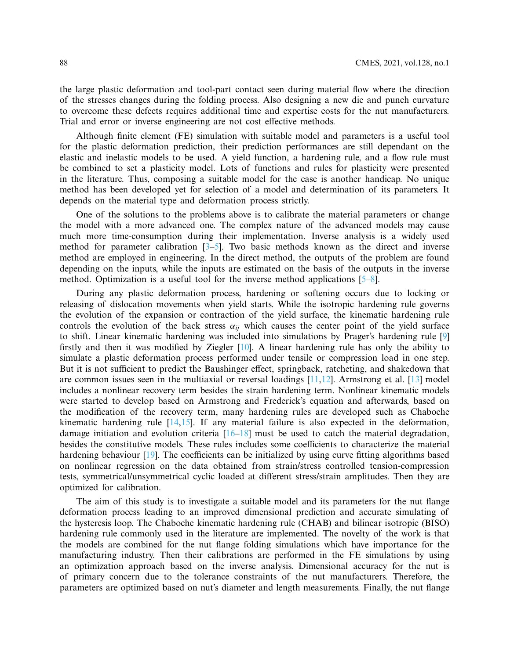the large plastic deformation and tool-part contact seen during material flow where the direction of the stresses changes during the folding process. Also designing a new die and punch curvature to overcome these defects requires additional time and expertise costs for the nut manufacturers. Trial and error or inverse engineering are not cost effective methods.

Although finite element (FE) simulation with suitable model and parameters is a useful tool for the plastic deformation prediction, their prediction performances are still dependant on the elastic and inelastic models to be used. A yield function, a hardening rule, and a flow rule must be combined to set a plasticity model. Lots of functions and rules for plasticity were presented in the literature. Thus, composing a suitable model for the case is another handicap. No unique method has been developed yet for selection of a model and determination of its parameters. It depends on the material type and deformation process strictly.

One of the solutions to the problems above is to calibrate the material parameters or change the model with a more advanced one. The complex nature of the advanced models may cause much more time-consumption during their implementation. Inverse analysis is a widely used method for parameter calibration  $[3-5]$  $[3-5]$ . Two basic methods known as the direct and inverse method are employed in engineering. In the direct method, the outputs of the problem are found depending on the inputs, while the inputs are estimated on the basis of the outputs in the inverse method. Optimization is a useful tool for the inverse method applications [\[5](#page-19-3)[–8](#page-19-4)].

During any plastic deformation process, hardening or softening occurs due to locking or releasing of dislocation movements when yield starts. While the isotropic hardening rule governs the evolution of the expansion or contraction of the yield surface, the kinematic hardening rule controls the evolution of the back stress  $\alpha_{ij}$  which causes the center point of the yield surface to shift. Linear kinematic hardening was included into simulations by Prager's hardening rule [\[9\]](#page-19-5) firstly and then it was modified by Ziegler [\[10](#page-19-6)]. A linear hardening rule has only the ability to simulate a plastic deformation process performed under tensile or compression load in one step. But it is not sufficient to predict the Baushinger effect, springback, ratcheting, and shakedown that are common issues seen in the multiaxial or reversal loadings  $[11,12]$  $[11,12]$ . Armstrong et al.  $[13]$  $[13]$  model includes a nonlinear recovery term besides the strain hardening term. Nonlinear kinematic models were started to develop based on Armstrong and Frederick's equation and afterwards, based on the modification of the recovery term, many hardening rules are developed such as Chaboche kinematic hardening rule [\[14](#page-19-10)[,15\]](#page-19-11). If any material failure is also expected in the deformation, damage initiation and evolution criteria [\[16](#page-19-12)[–18\]](#page-20-0) must be used to catch the material degradation, besides the constitutive models. These rules includes some coefficients to characterize the material hardening behaviour [\[19\]](#page-20-1). The coefficients can be initialized by using curve fitting algorithms based on nonlinear regression on the data obtained from strain/stress controlled tension-compression tests, symmetrical/unsymmetrical cyclic loaded at different stress/strain amplitudes. Then they are optimized for calibration.

The aim of this study is to investigate a suitable model and its parameters for the nut flange deformation process leading to an improved dimensional prediction and accurate simulating of the hysteresis loop. The Chaboche kinematic hardening rule (CHAB) and bilinear isotropic (BISO) hardening rule commonly used in the literature are implemented. The novelty of the work is that the models are combined for the nut flange folding simulations which have importance for the manufacturing industry. Then their calibrations are performed in the FE simulations by using an optimization approach based on the inverse analysis. Dimensional accuracy for the nut is of primary concern due to the tolerance constraints of the nut manufacturers. Therefore, the parameters are optimized based on nut's diameter and length measurements. Finally, the nut flange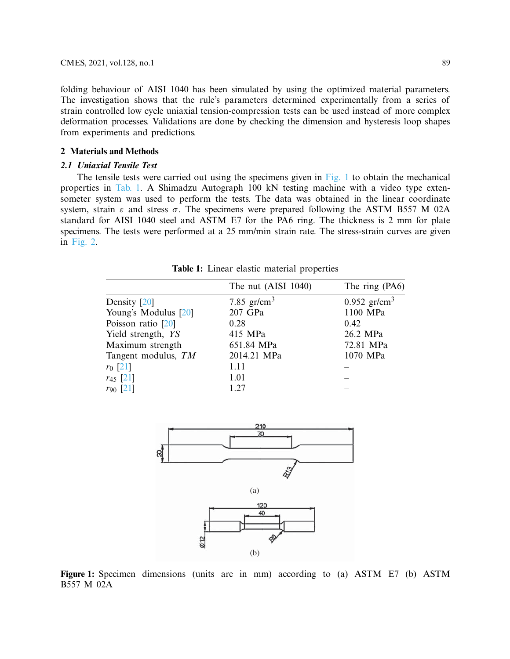folding behaviour of AISI 1040 has been simulated by using the optimized material parameters. The investigation shows that the rule's parameters determined experimentally from a series of strain controlled low cycle uniaxial tension-compression tests can be used instead of more complex deformation processes. Validations are done by checking the dimension and hysteresis loop shapes from experiments and predictions.

# **2 Materials and Methods**

## *2.1 Uniaxial Tensile Test*

The tensile tests were carried out using the specimens given in [Fig. 1](#page-2-0) to obtain the mechanical properties in [Tab. 1.](#page-2-1) A Shimadzu Autograph 100 kN testing machine with a video type extensometer system was used to perform the tests. The data was obtained in the linear coordinate system, strain  $\varepsilon$  and stress  $\sigma$ . The specimens were prepared following the ASTM B557 M 02A standard for AISI 1040 steel and ASTM E7 for the PA6 ring. The thickness is 2 mm for plate specimens. The tests were performed at a 25 mm/min strain rate. The stress-strain curves are given in [Fig. 2.](#page-3-0)

<span id="page-2-1"></span>

|                      | The nut (AISI 1040) | The ring (PA6)             |
|----------------------|---------------------|----------------------------|
| Density [20]         | 7.85 $gr/cm^3$      | $0.952$ gr/cm <sup>3</sup> |
| Young's Modulus [20] | 207 GPa             | 1100 MPa                   |
| Poisson ratio [20]   | 0.28                | 0.42                       |
| Yield strength, YS   | 415 MPa             | 26.2 MPa                   |
| Maximum strength     | 651.84 MPa          | 72.81 MPa                  |
| Tangent modulus, TM  | 2014.21 MPa         | 1070 MPa                   |
| $r_0$ [21]           | 1.11                |                            |
| $r_{45}$ [21]        | 1.01                |                            |
| $r_{90}$ [21]        | 1.27                |                            |
|                      |                     |                            |

**Table 1:** Linear elastic material properties

<span id="page-2-0"></span>

**Figure 1:** Specimen dimensions (units are in mm) according to (a) ASTM E7 (b) ASTM B557 M 02A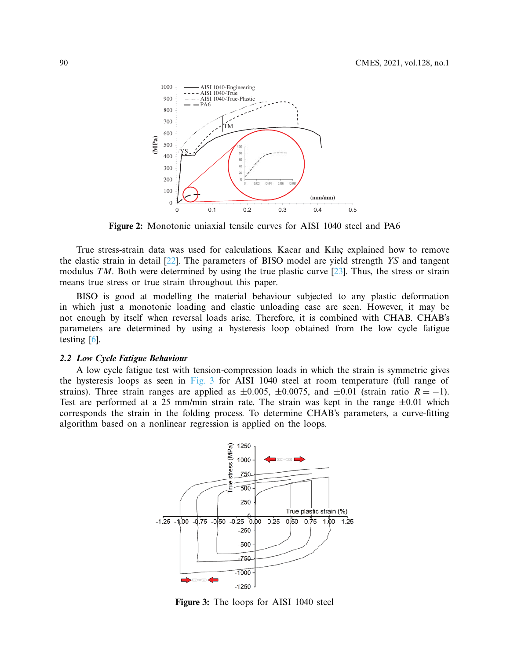<span id="page-3-0"></span>

**Figure 2:** Monotonic uniaxial tensile curves for AISI 1040 steel and PA6

True stress-strain data was used for calculations. Kacar and Kılıç explained how to remove the elastic strain in detail [\[22\]](#page-20-4). The parameters of BISO model are yield strength *YS* and tangent modulus *TM*. Both were determined by using the true plastic curve [\[23\]](#page-20-5). Thus, the stress or strain means true stress or true strain throughout this paper.

BISO is good at modelling the material behaviour subjected to any plastic deformation in which just a monotonic loading and elastic unloading case are seen. However, it may be not enough by itself when reversal loads arise. Therefore, it is combined with CHAB. CHAB's parameters are determined by using a hysteresis loop obtained from the low cycle fatigue testing [\[6](#page-19-13)].

#### *2.2 Low Cycle Fatigue Behaviour*

A low cycle fatigue test with tension-compression loads in which the strain is symmetric gives the hysteresis loops as seen in [Fig. 3](#page-3-1) for AISI 1040 steel at room temperature (full range of strains). Three strain ranges are applied as  $\pm 0.005$ ,  $\pm 0.0075$ , and  $\pm 0.01$  (strain ratio  $R = -1$ ). Test are performed at a 25 mm/min strain rate. The strain was kept in the range  $\pm 0.01$  which corresponds the strain in the folding process. To determine CHAB's parameters, a curve-fitting algorithm based on a nonlinear regression is applied on the loops.



<span id="page-3-1"></span>**Figure 3:** The loops for AISI 1040 steel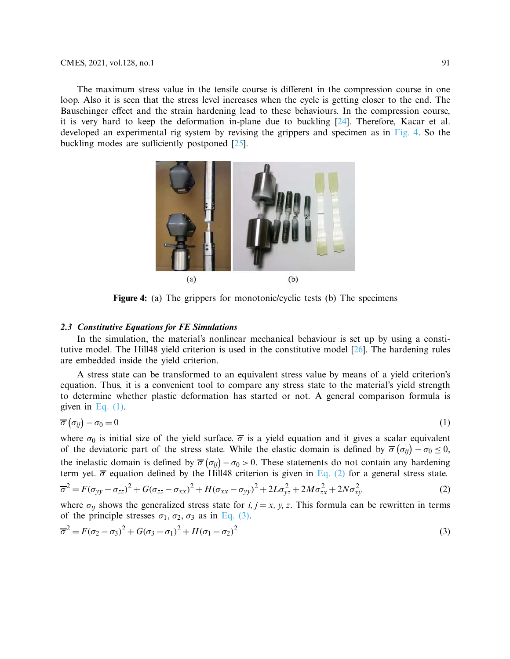The maximum stress value in the tensile course is different in the compression course in one loop. Also it is seen that the stress level increases when the cycle is getting closer to the end. The Bauschinger effect and the strain hardening lead to these behaviours. In the compression course, it is very hard to keep the deformation in-plane due to buckling [\[24](#page-20-6)]. Therefore, Kacar et al. developed an experimental rig system by revising the grippers and specimen as in [Fig. 4.](#page-4-0) So the buckling modes are sufficiently postponed [\[25](#page-20-7)].

<span id="page-4-0"></span>

**Figure 4:** (a) The grippers for monotonic/cyclic tests (b) The specimens

#### *2.3 Constitutive Equations for FE Simulations*

In the simulation, the material's nonlinear mechanical behaviour is set up by using a constitutive model. The Hill48 yield criterion is used in the constitutive model [\[26\]](#page-20-8). The hardening rules are embedded inside the yield criterion.

A stress state can be transformed to an equivalent stress value by means of a yield criterion's equation. Thus, it is a convenient tool to compare any stress state to the material's yield strength to determine whether plastic deformation has started or not. A general comparison formula is given in Eq.  $(1)$ .

<span id="page-4-1"></span>
$$
\overline{\sigma}\left(\sigma_{ij}\right)-\sigma_{0}=0\tag{1}
$$

where  $\sigma_0$  is initial size of the yield surface.  $\overline{\sigma}$  is a yield equation and it gives a scalar equivalent of the deviatoric part of the stress state. While the elastic domain is defined by  $\overline{\sigma}(\sigma_{ij}) - \sigma_0 \le 0$ , the inelastic domain is defined by  $\overline{\sigma}(\sigma_{ij}) - \sigma_0 > 0$ . These statements do not contain any hardening term yet.  $\overline{\sigma}$  equation defined by the Hill48 criterion is given in [Eq. \(2\)](#page-4-2) for a general stress state.

<span id="page-4-2"></span>
$$
\overline{\sigma}^2 = F(\sigma_{yy} - \sigma_{zz})^2 + G(\sigma_{zz} - \sigma_{xx})^2 + H(\sigma_{xx} - \sigma_{yy})^2 + 2L\sigma_{yz}^2 + 2M\sigma_{zx}^2 + 2N\sigma_{xy}^2
$$
 (2)

<span id="page-4-3"></span>where  $\sigma_{ij}$  shows the generalized stress state for *i, j* = *x, y, z*. This formula can be rewritten in terms of the principle stresses  $\sigma_1$ ,  $\sigma_2$ ,  $\sigma_3$  as in [Eq. \(3\).](#page-4-3)

$$
\overline{\sigma}^2 = F(\sigma_2 - \sigma_3)^2 + G(\sigma_3 - \sigma_1)^2 + H(\sigma_1 - \sigma_2)^2
$$
\n(3)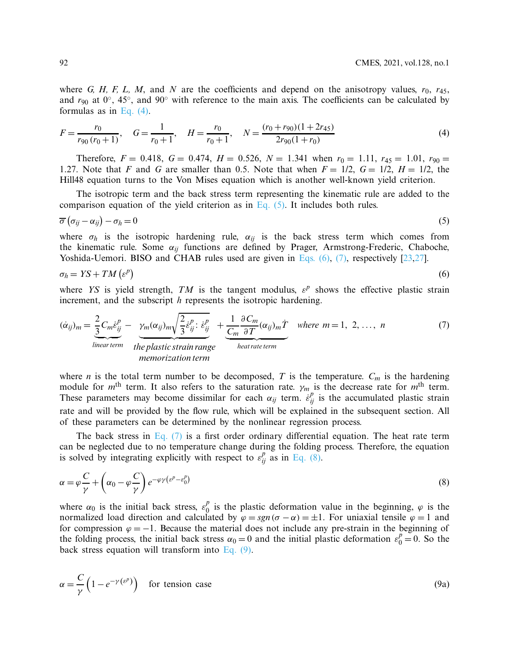where *G, H, F, L, M,* and *N* are the coefficients and depend on the anisotropy values,  $r_0$ ,  $r_{45}$ , and *r*<sup>90</sup> at 0◦, 45◦, and 90◦ with reference to the main axis. The coefficients can be calculated by formulas as in [Eq. \(4\).](#page-5-0)

<span id="page-5-0"></span>
$$
F = \frac{r_0}{r_{90}(r_0 + 1)}, \quad G = \frac{1}{r_0 + 1}, \quad H = \frac{r_0}{r_0 + 1}, \quad N = \frac{(r_0 + r_{90})(1 + 2r_{45})}{2r_{90}(1 + r_0)}
$$
(4)

Therefore,  $F = 0.418$ ,  $G = 0.474$ ,  $H = 0.526$ ,  $N = 1.341$  when  $r_0 = 1.11$ ,  $r_{45} = 1.01$ ,  $r_{90} =$ 1.27. Note that *F* and *G* are smaller than 0.5. Note that when  $F = 1/2$ ,  $G = 1/2$ ,  $H = 1/2$ , the Hill48 equation turns to the Von Mises equation which is another well-known yield criterion.

<span id="page-5-1"></span>The isotropic term and the back stress term representing the kinematic rule are added to the comparison equation of the yield criterion as in Eq.  $(5)$ . It includes both rules.

$$
\overline{\sigma}\left(\sigma_{ij}-\alpha_{ij}\right)-\sigma_h=0\tag{5}
$$

where  $\sigma_h$  is the isotropic hardening rule,  $\alpha_{ij}$  is the back stress term which comes from the kinematic rule. Some  $\alpha_{ij}$  functions are defined by Prager, Armstrong-Frederic, Chaboche, Yoshida-Uemori. BISO and CHAB rules used are given in [Eqs. \(6\),](#page-5-2) [\(7\),](#page-5-3) respectively [\[23](#page-20-5)[,27](#page-20-9)].

<span id="page-5-2"></span>
$$
\sigma_h = YS + TM\left(\varepsilon^p\right) \tag{6}
$$

where *YS* is yield strength, *TM* is the tangent modulus,  $\varepsilon^p$  shows the effective plastic strain increment, and the subscript *h* represents the isotropic hardening.

<span id="page-5-3"></span>
$$
(\dot{\alpha}_{ij})_m = \frac{2}{3} C_m \dot{\epsilon}_{ij}^p - \underbrace{\gamma_m(\alpha_{ij})_m \sqrt{\frac{2}{3} \dot{\epsilon}_{ij}^p : \dot{\epsilon}_{ij}^p}}_{\text{linear term}} + \underbrace{\frac{1}{C_m} \frac{\partial C_m}{\partial T} (\alpha_{ij})_m \dot{T}}_{\text{heat rate term}} \quad \text{where } m = 1, 2, ..., n
$$
\n(7)

where *n* is the total term number to be decomposed, *T* is the temperature.  $C_m$  is the hardening module for *m*th term. It also refers to the saturation rate. γ*<sup>m</sup>* is the decrease rate for *m*th term. These parameters may become dissimilar for each  $\alpha_{ij}$  term.  $\hat{\epsilon}_{ij}^p$  is the accumulated plastic strain rate and will be provided by the flow rule, which will be explained in the subsequent section. All of these parameters can be determined by the nonlinear regression process.

The back stress in Eq.  $(7)$  is a first order ordinary differential equation. The heat rate term can be neglected due to no temperature change during the folding process. Therefore, the equation is solved by integrating explicitly with respect to  $\varepsilon_{ij}^p$  as in [Eq. \(8\).](#page-5-4)

<span id="page-5-4"></span>
$$
\alpha = \varphi \frac{C}{\gamma} + \left(\alpha_0 - \varphi \frac{C}{\gamma}\right) e^{-\varphi \gamma \left(\varepsilon^p - \varepsilon_0^p\right)}\tag{8}
$$

where  $\alpha_0$  is the initial back stress,  $\varepsilon_0^p$  is the plastic deformation value in the beginning,  $\varphi$  is the normalized load direction and calculated by  $\varphi = sgn(\sigma - \alpha) = \pm 1$ . For uniaxial tensile  $\varphi = 1$  and for compression  $\varphi = -1$ . Because the material does not include any pre-strain in the beginning of the folding process, the initial back stress  $\alpha_0 = 0$  and the initial plastic deformation  $\varepsilon_0^p = 0$ . So the back stress equation will transform into [Eq. \(9\).](#page-5-5)

<span id="page-5-5"></span>
$$
\alpha = \frac{C}{\gamma} \left( 1 - e^{-\gamma \left( \varepsilon^p \right)} \right) \quad \text{for tension case} \tag{9a}
$$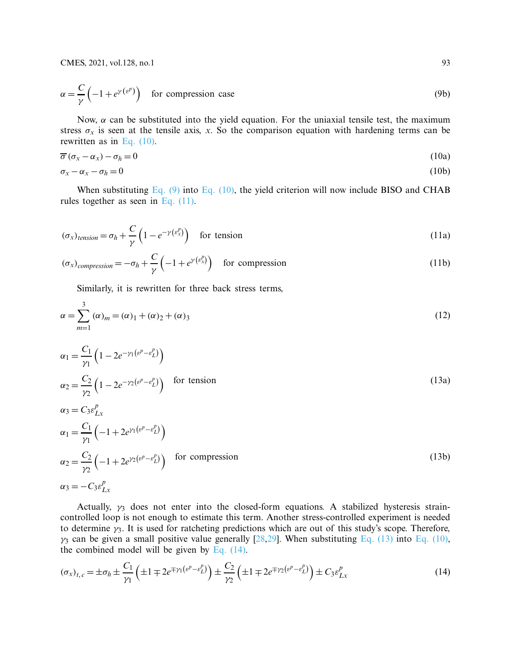$$
\alpha = \frac{C}{\gamma} \left( -1 + e^{\gamma \left( \varepsilon^p \right)} \right) \quad \text{for compression case} \tag{9b}
$$

Now,  $\alpha$  can be substituted into the yield equation. For the uniaxial tensile test, the maximum stress  $\sigma_x$  is seen at the tensile axis, *x*. So the comparison equation with hardening terms can be rewritten as in [Eq. \(10\).](#page-6-0)

<span id="page-6-0"></span>
$$
\overline{\sigma}(\sigma_x - \alpha_x) - \sigma_h = 0 \tag{10a}
$$

$$
\sigma_x - \alpha_x - \sigma_h = 0 \tag{10b}
$$

When substituting Eq.  $(9)$  into Eq.  $(10)$ , the yield criterion will now include BISO and CHAB rules together as seen in Eq.  $(11)$ .

$$
(\sigma_x)_{tension} = \sigma_h + \frac{C}{\gamma} \left( 1 - e^{-\gamma \left( \varepsilon_x^p \right)} \right) \quad \text{for tension}
$$
\n<sup>(11a)</sup>

$$
(\sigma_x)_{compression} = -\sigma_h + \frac{C}{\gamma} \left( -1 + e^{\gamma \left( \varepsilon_x^p \right)} \right) \quad \text{for compression} \tag{11b}
$$

<span id="page-6-2"></span><span id="page-6-1"></span>Similarly, it is rewritten for three back stress terms,

$$
\alpha = \sum_{m=1}^{3} (\alpha)_m = (\alpha)_1 + (\alpha)_2 + (\alpha)_3
$$
\n(12)

$$
\alpha_1 = \frac{C_1}{\gamma_1} \left( 1 - 2e^{-\gamma_1 (e^p - e_L^p)} \right)
$$
  
\n
$$
\alpha_2 = \frac{C_2}{\gamma_2} \left( 1 - 2e^{-\gamma_2 (e^p - e_L^p)} \right) \quad \text{for tension}
$$
  
\n
$$
\alpha_3 = C_3 \varepsilon_{Lx}^p
$$
  
\n
$$
\alpha_1 = \frac{C_1}{\gamma_1} \left( -1 + 2e^{\gamma_1 (e^p - e_L^p)} \right)
$$
  
\n
$$
\alpha_2 = \frac{C_2}{\gamma_2} \left( -1 + 2e^{\gamma_2 (e^p - e_L^p)} \right) \quad \text{for compression}
$$
  
\n
$$
\alpha_3 = -C_3 \varepsilon_{Lx}^p
$$
  
\n(13b)

Actually,  $\gamma_3$  does not enter into the closed-form equations. A stabilized hysteresis straincontrolled loop is not enough to estimate this term. Another stress-controlled experiment is needed to determine  $\gamma_3$ . It is used for ratcheting predictions which are out of this study's scope. Therefore,  $\gamma_3$  can be given a small positive value generally [\[28](#page-20-10)[,29](#page-20-11)]. When substituting [Eq. \(13\)](#page-6-2) into [Eq. \(10\),](#page-6-0) the combined model will be given by Eq.  $(14)$ .

<span id="page-6-3"></span>
$$
(\sigma_x)_{t,c} = \pm \sigma_h \pm \frac{C_1}{\gamma_1} \left( \pm 1 \mp 2e^{\mp \gamma_1 \left( e^p - e_L^p \right)} \right) \pm \frac{C_2}{\gamma_2} \left( \pm 1 \mp 2e^{\mp \gamma_2 \left( e^p - e_L^p \right)} \right) \pm C_3 \varepsilon_{Lx}^p \tag{14}
$$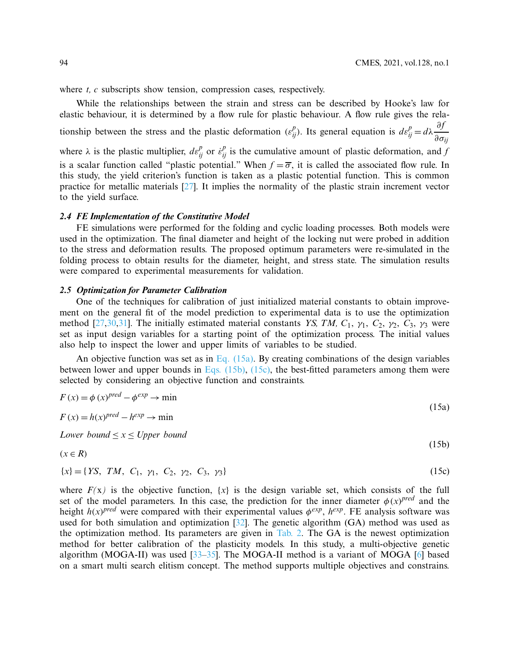<span id="page-7-2"></span><span id="page-7-1"></span><span id="page-7-0"></span>(15b)

where *t*, *c* subscripts show tension, compression cases, respectively.

While the relationships between the strain and stress can be described by Hooke's law for elastic behaviour, it is determined by a flow rule for plastic behaviour. A flow rule gives the relationship between the stress and the plastic deformation  $(\varepsilon_{ij}^p)$ . Its general equation is  $d\varepsilon_{ij}^p = d\lambda \frac{\partial f}{\partial \sigma}$ ∂σ*ij* where  $\lambda$  is the plastic multiplier,  $d\varepsilon_{ij}^p$  or  $\dot{\varepsilon}_{ij}^p$  is the cumulative amount of plastic deformation, and *f* is a scalar function called "plastic potential." When  $f = \overline{\sigma}$ , it is called the associated flow rule. In this study, the yield criterion's function is taken as a plastic potential function. This is common practice for metallic materials [\[27](#page-20-9)]. It implies the normality of the plastic strain increment vector to the yield surface.

#### *2.4 FE Implementation of the Constitutive Model*

FE simulations were performed for the folding and cyclic loading processes. Both models were used in the optimization. The final diameter and height of the locking nut were probed in addition to the stress and deformation results. The proposed optimum parameters were re-simulated in the folding process to obtain results for the diameter, height, and stress state. The simulation results were compared to experimental measurements for validation.

#### *2.5 Optimization for Parameter Calibration*

One of the techniques for calibration of just initialized material constants to obtain improvement on the general fit of the model prediction to experimental data is to use the optimization method [\[27](#page-20-9)[,30](#page-20-12)[,31](#page-20-13)]. The initially estimated material constants *YS, TM, C*<sub>1</sub>,  $\gamma_1$ , *C*<sub>2</sub>,  $\gamma_2$ , *C*<sub>3</sub>,  $\gamma_3$  were set as input design variables for a starting point of the optimization process. The initial values also help to inspect the lower and upper limits of variables to be studied.

An objective function was set as in [Eq. \(15a\).](#page-7-0) By creating combinations of the design variables between lower and upper bounds in [Eqs. \(15b\),](#page-7-1) [\(15c\),](#page-7-2) the best-fitted parameters among them were selected by considering an objective function and constraints.

$$
F(x) = \phi (x)^{pred} - \phi^{exp} \to \min
$$
  
\n
$$
F(x) = h(x)^{pred} - h^{exp} \to \min
$$
\n(15a)

*Lower bound*  $\leq x \leq U$ *pper bound* 

$$
(x \in R)
$$

$$
\{x\} = \{YS, TM, C_1, \gamma_1, C_2, \gamma_2, C_3, \gamma_3\} \tag{15c}
$$

where  $F(x)$  is the objective function,  $\{x\}$  is the design variable set, which consists of the full set of the model parameters. In this case, the prediction for the inner diameter  $\phi(x)^{pred}$  and the height  $h(x)$ <sup>pred</sup> were compared with their experimental values  $\phi^{exp}$ ,  $h^{exp}$ . FE analysis software was used for both simulation and optimization [\[32\]](#page-20-14). The genetic algorithm (GA) method was used as the optimization method. Its parameters are given in [Tab. 2.](#page-8-0) The GA is the newest optimization method for better calibration of the plasticity models. In this study, a multi-objective genetic algorithm (MOGA-II) was used  $[33–35]$  $[33–35]$ . The MOGA-II method is a variant of MOGA  $[6]$  $[6]$  based on a smart multi search elitism concept. The method supports multiple objectives and constrains.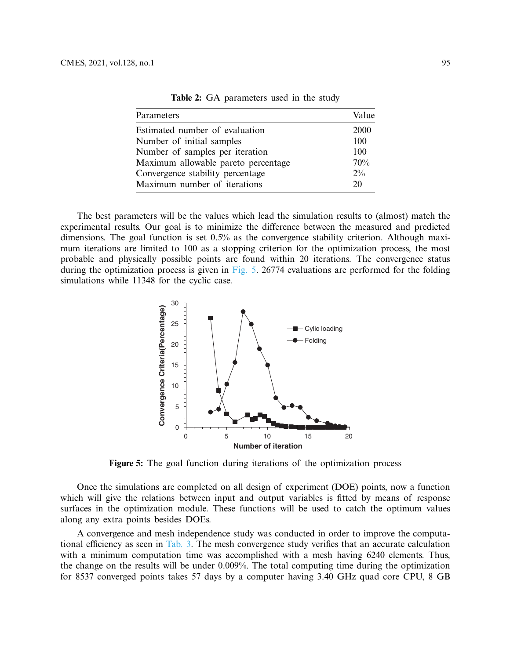<span id="page-8-0"></span>

| Parameters                          | Value |
|-------------------------------------|-------|
| Estimated number of evaluation      | 2000  |
| Number of initial samples           | 100   |
| Number of samples per iteration     | 100   |
| Maximum allowable pareto percentage | 70%   |
| Convergence stability percentage    | $2\%$ |
| Maximum number of iterations        | 20    |

**Table 2:** GA parameters used in the study

The best parameters will be the values which lead the simulation results to (almost) match the experimental results. Our goal is to minimize the difference between the measured and predicted dimensions. The goal function is set 0.5% as the convergence stability criterion. Although maximum iterations are limited to 100 as a stopping criterion for the optimization process, the most probable and physically possible points are found within 20 iterations. The convergence status during the optimization process is given in [Fig. 5.](#page-8-1) 26774 evaluations are performed for the folding simulations while 11348 for the cyclic case.



<span id="page-8-1"></span>Figure 5: The goal function during iterations of the optimization process

Once the simulations are completed on all design of experiment (DOE) points, now a function which will give the relations between input and output variables is fitted by means of response surfaces in the optimization module. These functions will be used to catch the optimum values along any extra points besides DOEs.

A convergence and mesh independence study was conducted in order to improve the computational efficiency as seen in [Tab. 3.](#page-9-0) The mesh convergence study verifies that an accurate calculation with a minimum computation time was accomplished with a mesh having 6240 elements. Thus, the change on the results will be under 0.009%. The total computing time during the optimization for 8537 converged points takes 57 days by a computer having 3.40 GHz quad core CPU, 8 GB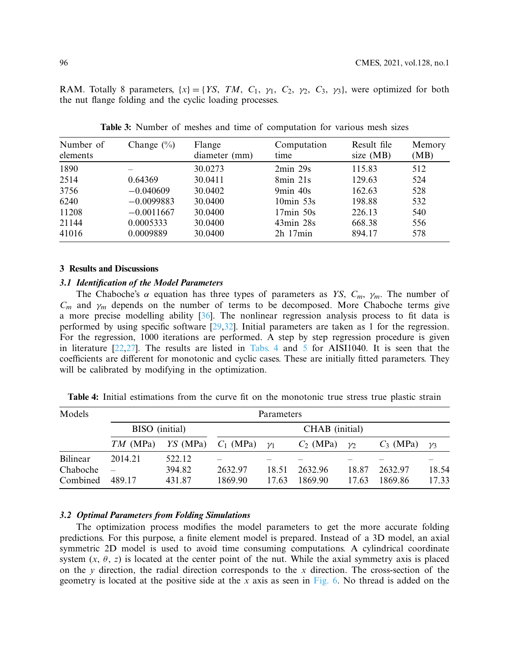RAM. Totally 8 parameters,  $\{x\} = \{YS, TM, C_1, \gamma_1, C_2, \gamma_2, C_3, \gamma_3\}$ , were optimized for both the nut flange folding and the cyclic loading processes.

<span id="page-9-0"></span>

| Number of<br>elements | Change $(\% )$ | Flange<br>diameter (mm) | Computation<br>time | Result file<br>size $(MB)$ | Memory<br>(MB) |
|-----------------------|----------------|-------------------------|---------------------|----------------------------|----------------|
| 1890                  |                | 30.0273                 | $2min\ 29s$         | 115.83                     | 512            |
| 2514                  | 0.64369        | 30.0411                 | 8min 21s            | 129.63                     | 524            |
| 3756                  | $-0.040609$    | 30.0402                 | $9min$ 40s          | 162.63                     | 528            |
| 6240                  | $-0.0099883$   | 30.0400                 | $10\text{min}$ 53s  | 198.88                     | 532            |
| 11208                 | $-0.0011667$   | 30.0400                 | $17min$ 50s         | 226.13                     | 540            |
| 21144                 | 0.0005333      | 30.0400                 | $43min$ $28s$       | 668.38                     | 556            |
| 41016                 | 0.0009889      | 30.0400                 | $2h$ 17 $min$       | 894.17                     | 578            |

**Table 3:** Number of meshes and time of computation for various mesh sizes

#### **3 Results and Discussions**

#### *3.1 Identification of the Model Parameters*

The Chaboche's  $\alpha$  equation has three types of parameters as *YS*,  $C_m$ ,  $\gamma_m$ . The number of  $C_m$  and  $\gamma_m$  depends on the number of terms to be decomposed. More Chaboche terms give a more precise modelling ability [\[36](#page-20-17)]. The nonlinear regression analysis process to fit data is performed by using specific software [\[29](#page-20-11)[,32](#page-20-14)]. Initial parameters are taken as 1 for the regression. For the regression, 1000 iterations are performed. A step by step regression procedure is given in literature [\[22](#page-20-4)[,27\]](#page-20-9). The results are listed in [Tabs. 4](#page-9-1) and [5](#page-10-0) for AISI1040. It is seen that the coefficients are different for monotonic and cyclic cases. These are initially fitted parameters. They will be calibrated by modifying in the optimization.

<span id="page-9-1"></span>**Table 4:** Initial estimations from the curve fit on the monotonic true stress true plastic strain

| Models   | Parameters     |            |                |         |             |          |             |         |  |  |
|----------|----------------|------------|----------------|---------|-------------|----------|-------------|---------|--|--|
|          | BISO (initial) |            | CHAB (initial) |         |             |          |             |         |  |  |
|          | $TM$ (MPa)     | $YS$ (MPa) | $C_1$ (MPa)    | $\nu_1$ | $C_2$ (MPa) | $\gamma$ | $C_3$ (MPa) | $\nu$ 3 |  |  |
| Bilinear | 2014.21        | 522.12     |                |         |             |          |             |         |  |  |
| Chaboche |                | 394.82     | 2632.97        | 18.51   | 2632.96     | 18.87    | 2632.97     | 18.54   |  |  |
| Combined | 489.17         | 431.87     | 1869.90        | 17.63   | 1869.90     | 17.63    | 1869.86     | 17.33   |  |  |

#### *3.2 Optimal Parameters from Folding Simulations*

The optimization process modifies the model parameters to get the more accurate folding predictions. For this purpose, a finite element model is prepared. Instead of a 3D model, an axial symmetric 2D model is used to avoid time consuming computations. A cylindrical coordinate system  $(x, \theta, z)$  is located at the center point of the nut. While the axial symmetry axis is placed on the *y* direction, the radial direction corresponds to the *x* direction. The cross-section of the geometry is located at the positive side at the *x* axis as seen in [Fig. 6.](#page-10-1) No thread is added on the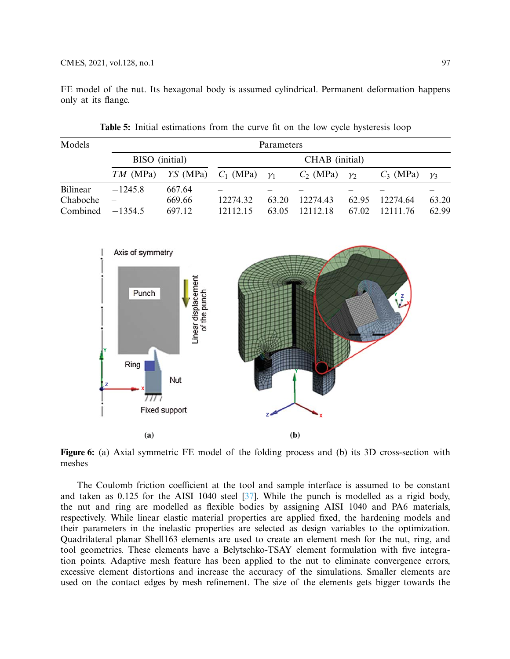FE model of the nut. Its hexagonal body is assumed cylindrical. Permanent deformation happens only at its flange.

<span id="page-10-0"></span>

| Models   | <b>Parameters</b>        |            |             |                |             |          |             |            |  |
|----------|--------------------------|------------|-------------|----------------|-------------|----------|-------------|------------|--|
|          | BISO (initial)           |            |             | CHAB (initial) |             |          |             |            |  |
|          | $TM$ (MPa)               | $YS$ (MPa) | $C_1$ (MPa) | $\nu_1$        | $C_2$ (MPa) | $\gamma$ | $C_3$ (MPa) | $\gamma_3$ |  |
| Bilinear | $-1245.8$                | 667.64     |             |                |             |          |             |            |  |
| Chaboche | $\overline{\phantom{m}}$ | 669.66     | 12274.32    | 63.20          | 12274.43    | 62.95    | 12274.64    | 63.20      |  |
| Combined | $-1354.5$                | 697.12     | 12112.15    | 63.05          | 12112.18    | 67.02    | 12111 76    | 62.99      |  |

**Table 5:** Initial estimations from the curve fit on the low cycle hysteresis loop



<span id="page-10-1"></span>**Figure 6:** (a) Axial symmetric FE model of the folding process and (b) its 3D cross-section with meshes

The Coulomb friction coefficient at the tool and sample interface is assumed to be constant and taken as 0.125 for the AISI 1040 steel [\[37\]](#page-21-0). While the punch is modelled as a rigid body, the nut and ring are modelled as flexible bodies by assigning AISI 1040 and PA6 materials, respectively. While linear elastic material properties are applied fixed, the hardening models and their parameters in the inelastic properties are selected as design variables to the optimization. Quadrilateral planar Shell163 elements are used to create an element mesh for the nut, ring, and tool geometries. These elements have a Belytschko-TSAY element formulation with five integration points. Adaptive mesh feature has been applied to the nut to eliminate convergence errors, excessive element distortions and increase the accuracy of the simulations. Smaller elements are used on the contact edges by mesh refinement. The size of the elements gets bigger towards the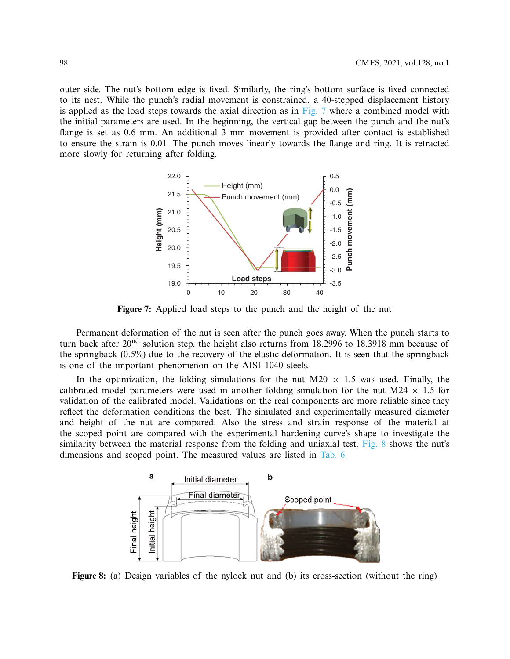outer side. The nut's bottom edge is fixed. Similarly, the ring's bottom surface is fixed connected to its nest. While the punch's radial movement is constrained, a 40-stepped displacement history is applied as the load steps towards the axial direction as in [Fig. 7](#page-11-0) where a combined model with the initial parameters are used. In the beginning, the vertical gap between the punch and the nut's flange is set as 0.6 mm. An additional 3 mm movement is provided after contact is established to ensure the strain is 0.01. The punch moves linearly towards the flange and ring. It is retracted more slowly for returning after folding.



<span id="page-11-0"></span>**Figure 7:** Applied load steps to the punch and the height of the nut

Permanent deformation of the nut is seen after the punch goes away. When the punch starts to turn back after 20<sup>nd</sup> solution step, the height also returns from 18.2996 to 18.3918 mm because of the springback (0.5%) due to the recovery of the elastic deformation. It is seen that the springback is one of the important phenomenon on the AISI 1040 steels.

In the optimization, the folding simulations for the nut M20  $\times$  1.5 was used. Finally, the calibrated model parameters were used in another folding simulation for the nut M24  $\times$  1.5 for validation of the calibrated model. Validations on the real components are more reliable since they reflect the deformation conditions the best. The simulated and experimentally measured diameter and height of the nut are compared. Also the stress and strain response of the material at the scoped point are compared with the experimental hardening curve's shape to investigate the similarity between the material response from the folding and uniaxial test. [Fig. 8](#page-11-1) shows the nut's dimensions and scoped point. The measured values are listed in [Tab. 6.](#page-12-0)

<span id="page-11-1"></span>

**Figure 8:** (a) Design variables of the nylock nut and (b) its cross-section (without the ring)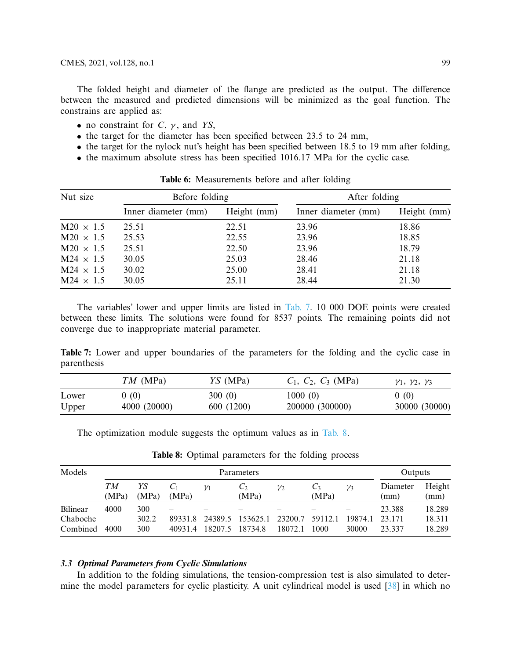The folded height and diameter of the flange are predicted as the output. The difference between the measured and predicted dimensions will be minimized as the goal function. The constrains are applied as:

- no constraint for  $C$ ,  $\gamma$ , and *YS*,
- the target for the diameter has been specified between 23.5 to 24 mm,
- the target for the nylock nut's height has been specified between 18.5 to 19 mm after folding,
- the maximum absolute stress has been specified 1016.17 MPa for the cyclic case.

<span id="page-12-0"></span>

| Nut size         | Before folding      |             | After folding       |             |  |
|------------------|---------------------|-------------|---------------------|-------------|--|
|                  | Inner diameter (mm) | Height (mm) | Inner diameter (mm) | Height (mm) |  |
| $M20 \times 1.5$ | 25.51               | 22.51       | 23.96               | 18.86       |  |
| $M20 \times 1.5$ | 25.53               | 22.55       | 23.96               | 18.85       |  |
| $M20 \times 1.5$ | 25.51               | 22.50       | 23.96               | 18.79       |  |
| $M24 \times 1.5$ | 30.05               | 25.03       | 28.46               | 21.18       |  |
| $M24 \times 1.5$ | 30.02               | 25.00       | 28.41               | 21.18       |  |
| $M24 \times 1.5$ | 30.05               | 25.11       | 28.44               | 21.30       |  |

**Table 6:** Measurements before and after folding

The variables' lower and upper limits are listed in [Tab. 7.](#page-12-1) 10 000 DOE points were created between these limits. The solutions were found for 8537 points. The remaining points did not converge due to inappropriate material parameter.

<span id="page-12-1"></span>**Table 7:** Lower and upper boundaries of the parameters for the folding and the cyclic case in parenthesis

| $TM$ (MPa) | $YS$ (MPa)   | $C_1, C_2, C_3$ (MPa) | $\gamma_1, \gamma_2, \gamma_3$ |
|------------|--------------|-----------------------|--------------------------------|
| 0(0)       |              |                       | 0(0)<br>30000 (30000)          |
|            | 4000 (20000) | 300(0)<br>600 (1200)  | 1000(0)<br>200000 (300000)     |

The optimization module suggests the optimum values as in [Tab. 8.](#page-12-2)

<span id="page-12-2"></span>

| Models   |             | Parameters  |         |            |              |                |                          |                 | Outputs          |                |
|----------|-------------|-------------|---------|------------|--------------|----------------|--------------------------|-----------------|------------------|----------------|
|          | TМ<br>(MPa) | YS<br>(MPa) | (MPa)   | $\gamma_1$ | Û2.<br>(MPa) | $\mathcal{V}2$ | $\mathcal{C}_3$<br>(MPa) | $\mathcal{V}$ 3 | Diameter<br>(mm) | Height<br>(mm) |
| Bilinear | 4000        | 300         |         |            |              |                |                          |                 | 23.388           | 18.289         |
| Chaboche |             | 302.2       | 89331.8 | 24389.5    | 153625.1     | 23200.7        | 59112.1                  | 19874.1         | 23 171           | 18.311         |
| Combined | 4000        | 300         | 40931.4 | 18207.5    | 18734.8      | 18072.1        | 1000                     | 30000           | 23.337           | 18.289         |

**Table 8:** Optimal parameters for the folding process

# *3.3 Optimal Parameters from Cyclic Simulations*

In addition to the folding simulations, the tension-compression test is also simulated to determine the model parameters for cyclic plasticity. A unit cylindrical model is used [\[38\]](#page-21-1) in which no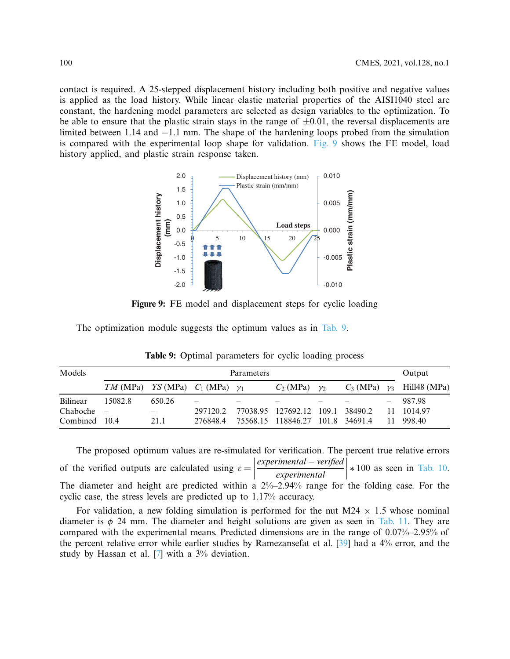contact is required. A 25-stepped displacement history including both positive and negative values is applied as the load history. While linear elastic material properties of the AISI1040 steel are constant, the hardening model parameters are selected as design variables to the optimization. To be able to ensure that the plastic strain stays in the range of  $\pm 0.01$ , the reversal displacements are limited between 1.14 and −1.1 mm. The shape of the hardening loops probed from the simulation is compared with the experimental loop shape for validation. [Fig. 9](#page-13-0) shows the FE model, load history applied, and plastic strain response taken.



**Figure 9:** FE model and displacement steps for cyclic loading

The optimization module suggests the optimum values as in [Tab. 9.](#page-13-1)

<span id="page-13-1"></span>

| Models        | Parameters                                 |        |          |  |                                  |               |  | Output |                                     |
|---------------|--------------------------------------------|--------|----------|--|----------------------------------|---------------|--|--------|-------------------------------------|
|               | $TM (MPa)$ YS (MPa) $C_1$ (MPa) $\gamma_1$ |        |          |  | $C_2$ (MPa)                      | $\mathcal{V}$ |  |        | $C_3$ (MPa) $\gamma_3$ Hill48 (MPa) |
| Bilinear      | 15082.8                                    | 650.26 | -        |  |                                  |               |  |        | 987.98                              |
| Chaboche      |                                            |        | 297120.2 |  | 77038.95 127692.12 109.1 38490.2 |               |  |        | 11 1014.97                          |
| Combined 10.4 |                                            | 21.1   | 276848.4 |  | 75568.15 118846.27 101.8 34691.4 |               |  |        | 11 998.40                           |

<span id="page-13-0"></span>**Table 9:** Optimal parameters for cyclic loading process

The proposed optimum values are re-simulated for verification. The percent true relative errors of the verified outputs are calculated using  $\varepsilon =$  *experimental* − *verified*  $\overline{\phantom{a}}$ | experimental | *experimental*  $\bigg\}$ I  $\overline{\phantom{a}}$ ∗ 100 as seen in [Tab. 10.](#page-14-0) The diameter and height are predicted within a 2%–2.94% range for the folding case. For the cyclic case, the stress levels are predicted up to 1.17% accuracy.

For validation, a new folding simulation is performed for the nut  $M24 \times 1.5$  whose nominal diameter is  $\phi$  24 mm. The diameter and height solutions are given as seen in [Tab. 11.](#page-14-1) They are compared with the experimental means. Predicted dimensions are in the range of 0.07%–2.95% of the percent relative error while earlier studies by Ramezansefat et al. [\[39\]](#page-21-2) had a 4% error, and the study by Hassan et al. [\[7\]](#page-19-14) with a 3% deviation.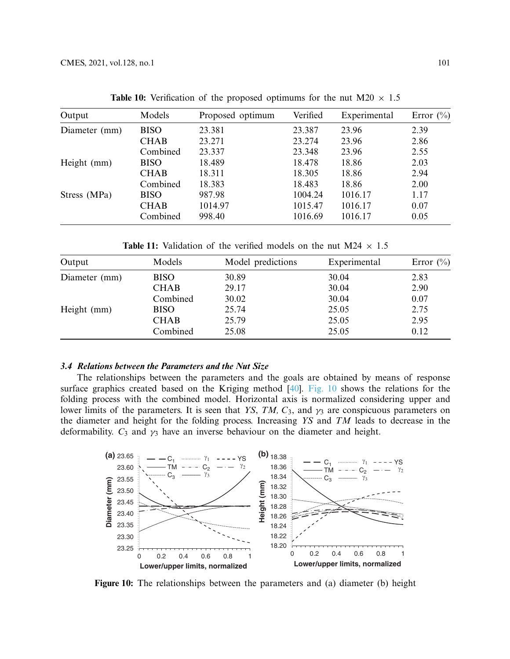<span id="page-14-0"></span>

| Output        | Models      | Proposed optimum | Verified | Experimental | Error $(\%$ |
|---------------|-------------|------------------|----------|--------------|-------------|
| Diameter (mm) | <b>BISO</b> | 23.381           | 23.387   | 23.96        | 2.39        |
|               | <b>CHAB</b> | 23.271           | 23.274   | 23.96        | 2.86        |
|               | Combined    | 23.337           | 23.348   | 23.96        | 2.55        |
| Height (mm)   | <b>BISO</b> | 18.489           | 18.478   | 18.86        | 2.03        |
|               | <b>CHAB</b> | 18.311           | 18.305   | 18.86        | 2.94        |
|               | Combined    | 18.383           | 18.483   | 18.86        | 2.00        |
| Stress (MPa)  | <b>BISO</b> | 987.98           | 1004.24  | 1016.17      | 1.17        |
|               | <b>CHAB</b> | 1014.97          | 1015.47  | 1016.17      | 0.07        |
|               | Combined    | 998.40           | 1016.69  | 1016.17      | 0.05        |

**Table 10:** Verification of the proposed optimums for the nut M20  $\times$  1.5

**Table 11:** Validation of the verified models on the nut M24  $\times$  1.5

<span id="page-14-1"></span>

| Output        | Models      | Model predictions | Experimental | Error $(\%)$ |
|---------------|-------------|-------------------|--------------|--------------|
| Diameter (mm) | <b>BISO</b> | 30.89             | 30.04        | 2.83         |
|               | <b>CHAB</b> | 29.17             | 30.04        | 2.90         |
|               | Combined    | 30.02             | 30.04        | 0.07         |
| Height (mm)   | <b>BISO</b> | 25.74             | 25.05        | 2.75         |
|               | <b>CHAB</b> | 25.79             | 25.05        | 2.95         |
|               | Combined    | 25.08             | 25.05        | 0.12         |

## *3.4 Relations between the Parameters and the Nut Size*

The relationships between the parameters and the goals are obtained by means of response surface graphics created based on the Kriging method [\[40\]](#page-21-3). [Fig. 10](#page-14-2) shows the relations for the folding process with the combined model. Horizontal axis is normalized considering upper and lower limits of the parameters. It is seen that *YS*, *TM*,  $C_3$ , and  $\gamma_3$  are conspicuous parameters on the diameter and height for the folding process. Increasing *YS* and *TM* leads to decrease in the deformability.  $C_3$  and  $\gamma_3$  have an inverse behaviour on the diameter and height.



<span id="page-14-2"></span>**Figure 10:** The relationships between the parameters and (a) diameter (b) height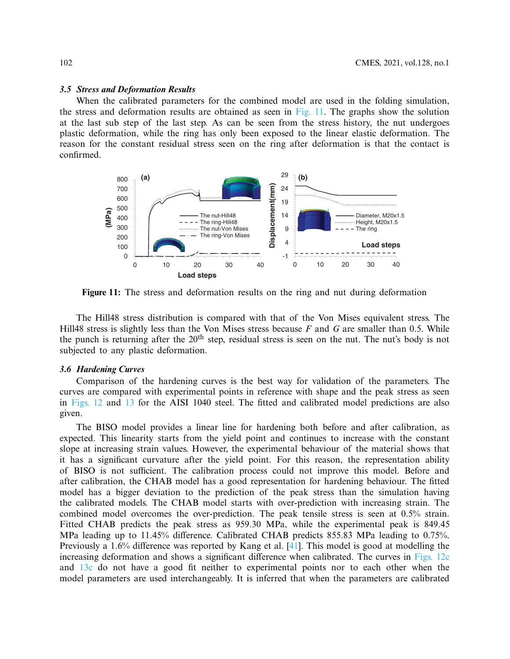#### *3.5 Stress and Deformation Results*

When the calibrated parameters for the combined model are used in the folding simulation, the stress and deformation results are obtained as seen in  $Fig. 11$ . The graphs show the solution at the last sub step of the last step. As can be seen from the stress history, the nut undergoes plastic deformation, while the ring has only been exposed to the linear elastic deformation. The reason for the constant residual stress seen on the ring after deformation is that the contact is confirmed.



<span id="page-15-0"></span>**Figure 11:** The stress and deformation results on the ring and nut during deformation

The Hill48 stress distribution is compared with that of the Von Mises equivalent stress. The Hill48 stress is slightly less than the Von Mises stress because *F* and *G* are smaller than 0.5. While the punch is returning after the 20<sup>th</sup> step, residual stress is seen on the nut. The nut's body is not subjected to any plastic deformation.

#### *3.6 Hardening Curves*

Comparison of the hardening curves is the best way for validation of the parameters. The curves are compared with experimental points in reference with shape and the peak stress as seen in [Figs. 12](#page-16-0) and [13](#page-17-0) for the AISI 1040 steel. The fitted and calibrated model predictions are also given.

The BISO model provides a linear line for hardening both before and after calibration, as expected. This linearity starts from the yield point and continues to increase with the constant slope at increasing strain values. However, the experimental behaviour of the material shows that it has a significant curvature after the yield point. For this reason, the representation ability of BISO is not sufficient. The calibration process could not improve this model. Before and after calibration, the CHAB model has a good representation for hardening behaviour. The fitted model has a bigger deviation to the prediction of the peak stress than the simulation having the calibrated models. The CHAB model starts with over-prediction with increasing strain. The combined model overcomes the over-prediction. The peak tensile stress is seen at 0.5% strain. Fitted CHAB predicts the peak stress as 959.30 MPa, while the experimental peak is 849.45 MPa leading up to 11.45% difference. Calibrated CHAB predicts 855.83 MPa leading to 0.75%. Previously a 1.6% difference was reported by Kang et al. [\[41](#page-21-4)]. This model is good at modelling the increasing deformation and shows a significant difference when calibrated. The curves in [Figs. 12c](#page-16-0) and [13c](#page-17-0) do not have a good fit neither to experimental points nor to each other when the model parameters are used interchangeably. It is inferred that when the parameters are calibrated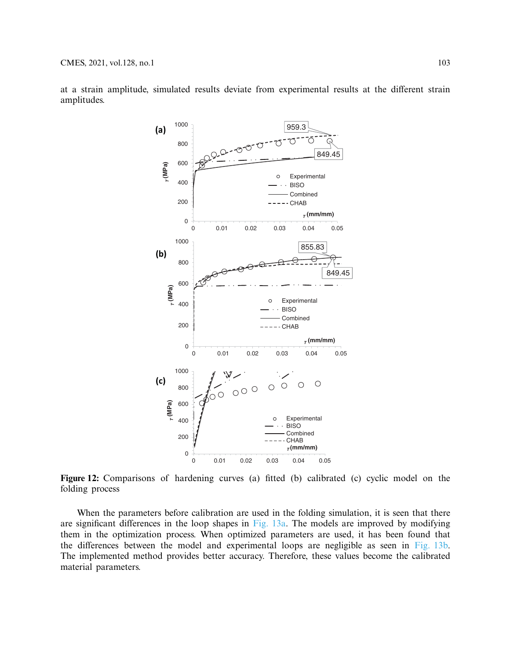

at a strain amplitude, simulated results deviate from experimental results at the different strain amplitudes.

<span id="page-16-0"></span>Figure 12: Comparisons of hardening curves (a) fitted (b) calibrated (c) cyclic model on the folding process

When the parameters before calibration are used in the folding simulation, it is seen that there are significant differences in the loop shapes in [Fig. 13a.](#page-17-0) The models are improved by modifying them in the optimization process. When optimized parameters are used, it has been found that the differences between the model and experimental loops are negligible as seen in [Fig. 13b.](#page-17-0) The implemented method provides better accuracy. Therefore, these values become the calibrated material parameters.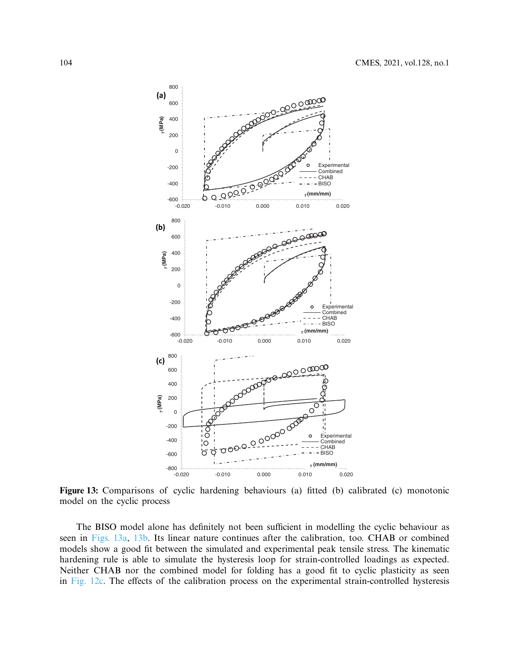

<span id="page-17-0"></span>**Figure 13:** Comparisons of cyclic hardening behaviours (a) fitted (b) calibrated (c) monotonic model on the cyclic process

The BISO model alone has definitely not been sufficient in modelling the cyclic behaviour as seen in [Figs. 13a,](#page-17-0) [13b.](#page-17-0) Its linear nature continues after the calibration, too. CHAB or combined models show a good fit between the simulated and experimental peak tensile stress. The kinematic hardening rule is able to simulate the hysteresis loop for strain-controlled loadings as expected. Neither CHAB nor the combined model for folding has a good fit to cyclic plasticity as seen in [Fig. 12c.](#page-16-0) The effects of the calibration process on the experimental strain-controlled hysteresis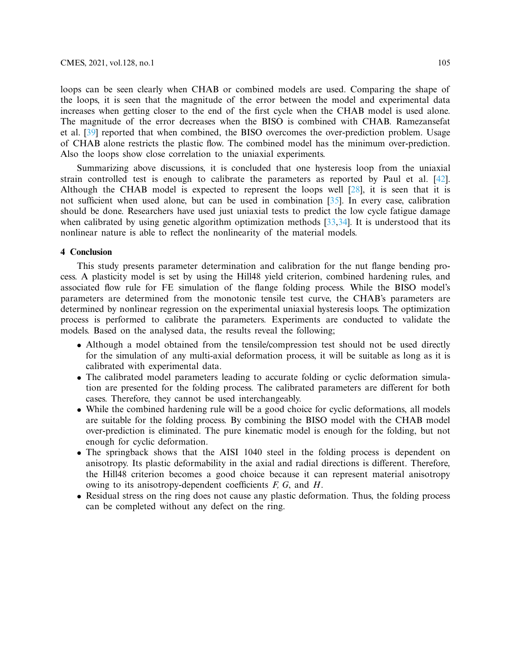loops can be seen clearly when CHAB or combined models are used. Comparing the shape of the loops, it is seen that the magnitude of the error between the model and experimental data increases when getting closer to the end of the first cycle when the CHAB model is used alone. The magnitude of the error decreases when the BISO is combined with CHAB. Ramezansefat et al. [\[39\]](#page-21-2) reported that when combined, the BISO overcomes the over-prediction problem. Usage of CHAB alone restricts the plastic flow. The combined model has the minimum over-prediction. Also the loops show close correlation to the uniaxial experiments.

Summarizing above discussions, it is concluded that one hysteresis loop from the uniaxial strain controlled test is enough to calibrate the parameters as reported by Paul et al. [\[42\]](#page-21-5). Although the CHAB model is expected to represent the loops well [\[28](#page-20-10)], it is seen that it is not sufficient when used alone, but can be used in combination [\[35](#page-20-16)]. In every case, calibration should be done. Researchers have used just uniaxial tests to predict the low cycle fatigue damage when calibrated by using genetic algorithm optimization methods  $[33,34]$  $[33,34]$  $[33,34]$ . It is understood that its nonlinear nature is able to reflect the nonlinearity of the material models.

# **4 Conclusion**

This study presents parameter determination and calibration for the nut flange bending process. A plasticity model is set by using the Hill48 yield criterion, combined hardening rules, and associated flow rule for FE simulation of the flange folding process. While the BISO model's parameters are determined from the monotonic tensile test curve, the CHAB's parameters are determined by nonlinear regression on the experimental uniaxial hysteresis loops. The optimization process is performed to calibrate the parameters. Experiments are conducted to validate the models. Based on the analysed data, the results reveal the following;

- Although a model obtained from the tensile/compression test should not be used directly for the simulation of any multi-axial deformation process, it will be suitable as long as it is calibrated with experimental data.
- The calibrated model parameters leading to accurate folding or cyclic deformation simulation are presented for the folding process. The calibrated parameters are different for both cases. Therefore, they cannot be used interchangeably.
- While the combined hardening rule will be a good choice for cyclic deformations, all models are suitable for the folding process. By combining the BISO model with the CHAB model over-prediction is eliminated. The pure kinematic model is enough for the folding, but not enough for cyclic deformation.
- The springback shows that the AISI 1040 steel in the folding process is dependent on anisotropy. Its plastic deformability in the axial and radial directions is different. Therefore, the Hill48 criterion becomes a good choice because it can represent material anisotropy owing to its anisotropy-dependent coefficients *F, G*, and *H*.
- Residual stress on the ring does not cause any plastic deformation. Thus, the folding process can be completed without any defect on the ring.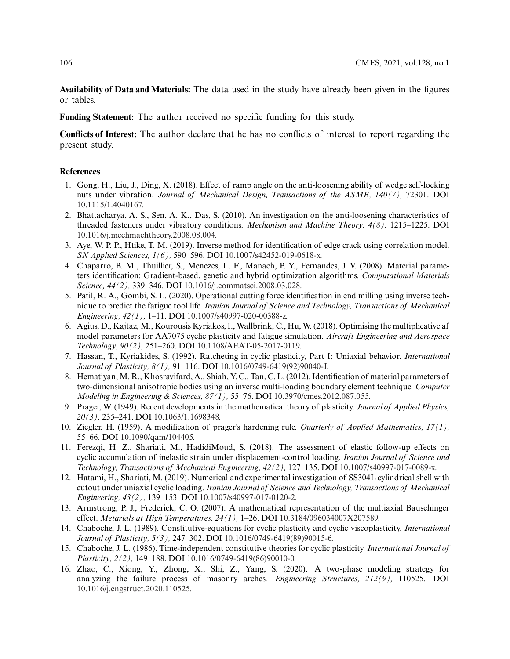**Availability of Data and Materials:** The data used in the study have already been given in the figures or tables.

**Funding Statement:** The author received no specific funding for this study.

**Conflicts of Interest:** The author declare that he has no conflicts of interest to report regarding the present study.

#### **References**

- <span id="page-19-0"></span>1. Gong, H., Liu, J., Ding, X. (2018). Effect of ramp angle on the anti-loosening ability of wedge self-locking nuts under vibration. *Journal of Mechanical Design, Transactions of the ASME, 140(7),* 72301. DOI [10.1115/1.4040167.](http://dx.doi.org/10.1115/1.4040167)
- <span id="page-19-1"></span>2. Bhattacharya, A. S., Sen, A. K., Das, S. (2010). An investigation on the anti-loosening characteristics of threaded fasteners under vibratory conditions. *Mechanism and Machine Theory, 4(8),* 1215–1225. DOI [10.1016/j.mechmachtheory.2008.08.004.](http://dx.doi.org/10.1016/j.mechmachtheory.2008.08.004)
- <span id="page-19-2"></span>3. Aye, W. P. P., Htike, T. M. (2019). Inverse method for identification of edge crack using correlation model. *SN Applied Sciences, 1(6),* 590–596. DOI [10.1007/s42452-019-0618-x.](http://dx.doi.org/10.1007/s42452-019-0618-x)
- 4. Chaparro, B. M., Thuillier, S., Menezes, L. F., Manach, P. Y., Fernandes, J. V. (2008). Material parameters identification: Gradient-based, genetic and hybrid optimization algorithms. *Computational Materials Science, 44(2),* 339–346. DOI [10.1016/j.commatsci.2008.03.028.](http://dx.doi.org/10.1016/j.commatsci.2008.03.028)
- <span id="page-19-3"></span>5. Patil, R. A., Gombi, S. L. (2020). Operational cutting force identification in end milling using inverse technique to predict the fatigue tool life. *Iranian Journal of Science and Technology, Transactions of Mechanical Engineering, 42(1),* 1–11. DOI [10.1007/s40997-020-00388-z.](http://dx.doi.org/10.1007/s40997-020-00388-z)
- <span id="page-19-13"></span>6. Agius, D., Kajtaz, M., Kourousis Kyriakos, I., Wallbrink, C., Hu, W. (2018). Optimising the multiplicative af model parameters for AA7075 cyclic plasticity and fatigue simulation. *Aircraft Engineering and Aerospace Technology, 90(2),* 251–260. DOI [10.1108/AEAT-05-2017-0119.](http://dx.doi.org/10.1108/AEAT-05-2017-0119)
- <span id="page-19-14"></span>7. Hassan, T., Kyriakides, S. (1992). Ratcheting in cyclic plasticity, Part I: Uniaxial behavior. *International Journal of Plasticity, 8(1),* 91–116. DOI [10.1016/0749-6419\(92\)90040-J.](http://dx.doi.org/10.1016/0749-6419(92)90040-J)
- <span id="page-19-4"></span>8. Hematiyan,M. R., Khosravifard, A., Shiah, Y. C., Tan, C. L. (2012). Identification of material parameters of two-dimensional anisotropic bodies using an inverse multi-loading boundary element technique. *Computer Modeling in Engineering & Sciences, 87(1),* 55–76. DOI [10.3970/cmes.2012.087.055.](http://dx.doi.org/10.3970/cmes.2012.087.055)
- <span id="page-19-5"></span>9. Prager, W. (1949). Recent developments in the mathematical theory of plasticity. *Journal of Applied Physics, 20(3),* 235–241. DOI [10.1063/1.1698348.](http://dx.doi.org/10.1063/1.1698348)
- <span id="page-19-6"></span>10. Ziegler, H. (1959). A modification of prager's hardening rule. *Quarterly of Applied Mathematics, 17(1),* 55–66. DOI [10.1090/qam/104405.](http://dx.doi.org/10.1090/qam/104405)
- <span id="page-19-7"></span>11. Ferezqi, H. Z., Shariati, M., HadidiMoud, S. (2018). The assessment of elastic follow-up effects on cyclic accumulation of inelastic strain under displacement-control loading. *Iranian Journal of Science and Technology, Transactions of Mechanical Engineering, 42(2),* 127–135. DOI [10.1007/s40997-017-0089-x.](http://dx.doi.org/10.1007/s40997-017-0089-x)
- <span id="page-19-8"></span>12. Hatami, H., Shariati, M. (2019). Numerical and experimental investigation of SS304L cylindrical shell with cutout under uniaxial cyclic loading. *Iranian Journal of Science and Technology, Transactions of Mechanical Engineering, 43(2),* 139–153. DOI [10.1007/s40997-017-0120-2.](http://dx.doi.org/10.1007/s40997-017-0120-2)
- <span id="page-19-9"></span>13. Armstrong, P. J., Frederick, C. O. (2007). A mathematical representation of the multiaxial Bauschinger effect. *Metarials at High Temperatures, 24(1),* 1–26. DOI [10.3184/096034007X207589.](http://dx.doi.org/10.3184/096034007X207589)
- <span id="page-19-10"></span>14. Chaboche, J. L. (1989). Constitutive-equations for cyclic plasticity and cyclic viscoplasticity. *International Journal of Plasticity, 5(3),* 247–302. DOI [10.1016/0749-6419\(89\)90015-6.](http://dx.doi.org/10.1016/0749-6419(89)90015-6)
- <span id="page-19-11"></span>15. Chaboche, J. L. (1986). Time-independent constitutive theories for cyclic plasticity. *International Journal of Plasticity, 2(2),* 149–188. DOI [10.1016/0749-6419\(86\)90010-0.](http://dx.doi.org/10.1016/0749-6419(86)90010-0)
- <span id="page-19-12"></span>16. Zhao, C., Xiong, Y., Zhong, X., Shi, Z., Yang, S. (2020). A two-phase modeling strategy for analyzing the failure process of masonry arches. *Engineering Structures, 212(9),* 110525. DOI [10.1016/j.engstruct.2020.110525.](http://dx.doi.org/10.1016/j.engstruct.2020.110525)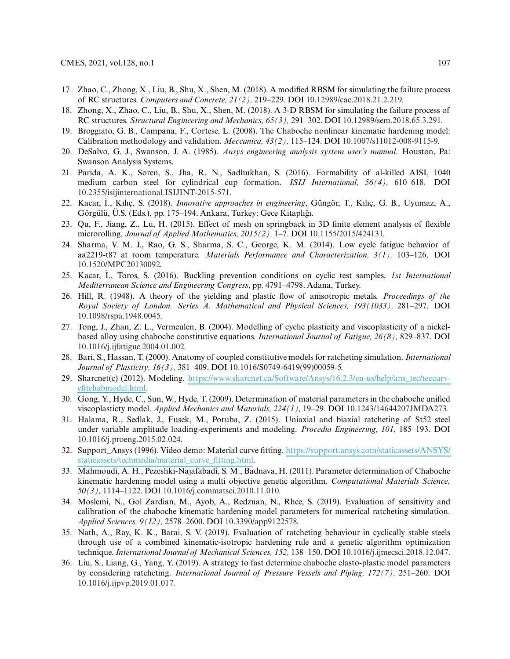- 17. Zhao, C., Zhong, X., Liu, B., Shu, X., Shen, M. (2018). A modified RBSM for simulating the failure process of RC structures. *Computers and Concrete, 21(2),* 219–229. DOI [10.12989/cac.2018.21.2.219.](http://dx.doi.org/10.12989/cac.2018.21.2.219)
- <span id="page-20-0"></span>18. Zhong, X., Zhao, C., Liu, B., Shu, X., Shen, M. (2018). A 3-D RBSM for simulating the failure process of RC structures. *Structural Engineering and Mechanics, 65(3),* 291–302. DOI [10.12989/sem.2018.65.3.291.](http://dx.doi.org/10.12989/sem.2018.65.3.291)
- <span id="page-20-1"></span>19. Broggiato, G. B., Campana, F., Cortese, L. (2008). The Chaboche nonlinear kinematic hardening model: Calibration methodology and validation. *Meccanica, 43(2),* 115–124. DOI [10.1007/s11012-008-9115-9.](http://dx.doi.org/10.1007/s11012-008-9115-9)
- <span id="page-20-2"></span>20. DeSalvo, G. J., Swanson, J. A. (1985). *Ansys engineering analysis system user's manual*. Houston, Pa: Swanson Analysis Systems.
- <span id="page-20-3"></span>21. Parida, A. K., Soren, S., Jha, R. N., Sadhukhan, S. (2016). Formability of al-killed AISI, 1040 medium carbon steel for cylindrical cup formation. *ISIJ International, 56(4),* 610–618. DOI [10.2355/isijinternational.ISIJINT-2015-571.](http://dx.doi.org/10.2355/isijinternational.ISIJINT-2015-571)
- <span id="page-20-4"></span>22. Kacar, ˙ I., Kılıç, S. (2018). *Innovative approaches in engineering*, Güngör, T., Kılıç, G. B., Uyumaz, A., Görgülü, Ü.S. (Eds.), pp. 175–194. Ankara, Turkey: Gece Kitaplıgı. ˘
- <span id="page-20-5"></span>23. Qu, F., Jiang, Z., Lu, H. (2015). Effect of mesh on springback in 3D finite element analysis of flexible microrolling. *Journal of Applied Mathematics, 2015(2),* 1–7. DOI [10.1155/2015/424131.](http://dx.doi.org/10.1155/2015/424131)
- <span id="page-20-6"></span>24. Sharma, V. M. J., Rao, G. S., Sharma, S. C., George, K. M. (2014). Low cycle fatigue behavior of aa2219-t87 at room temperature. *Materials Performance and Characterization, 3(1),* 103–126. DOI [10.1520/MPC20130092.](http://dx.doi.org/10.1520/MPC20130092)
- <span id="page-20-7"></span>25. Kacar, ˙ I., Toros, S. (2016). Buckling prevention conditions on cyclic test samples. *1st International Mediterranean Science and Engineering Congress*, pp. 4791–4798. Adana, Turkey.
- <span id="page-20-8"></span>26. Hill, R. (1948). A theory of the yielding and plastic flow of anisotropic metals. *Proceedings of the Royal Society of London. Series A. Mathematical and Physical Sciences, 193(1033),* 281–297. DOI [10.1098/rspa.1948.0045.](http://dx.doi.org/10.1098/rspa.1948.0045)
- <span id="page-20-9"></span>27. Tong, J., Zhan, Z. L., Vermeulen, B. (2004). Modelling of cyclic plasticity and viscoplasticity of a nickelbased alloy using chaboche constitutive equations. *International Journal of Fatigue, 26(8),* 829–837. DOI [10.1016/j.ijfatigue.2004.01.002.](http://dx.doi.org/10.1016/j.ijfatigue.2004.01.002)
- <span id="page-20-10"></span>28. Bari, S., Hassan, T. (2000). Anatomy of coupled constitutive models for ratcheting simulation. *International Journal of Plasticity, 16(3),* 381–409. DOI [10.1016/S0749-6419\(99\)00059-5.](http://dx.doi.org/10.1016/S0749-6419(99)00059-5)
- <span id="page-20-11"></span>29. Sharcnet(c) (2012). Modeling. [https://www.sharcnet.ca/Software/Ansys/16.2.3/en-us/help/ans\\_tec/teccurv](https://www.sharcnet.ca/Software/Ansys/16.2.3/en-us/help/ans_tec/teccurvefitchabmodel.html)[efitchabmodel.html.](https://www.sharcnet.ca/Software/Ansys/16.2.3/en-us/help/ans_tec/teccurvefitchabmodel.html)
- <span id="page-20-12"></span>30. Gong, Y., Hyde, C., Sun, W., Hyde, T. (2009). Determination of material parameters in the chaboche unified viscoplasticty model. *Applied Mechanics and Materials, 224(1),* 19–29. DOI [10.1243/14644207JMDA273.](http://dx.doi.org/10.1243/14644207JMDA273)
- <span id="page-20-13"></span>31. Halama, R., Sedlak, J., Fusek, M., Poruba, Z. (2015). Uniaxial and biaxial ratcheting of St52 steel under variable amplitude loading-experiments and modeling. *Procedia Engineering, 101,* 185–193. DOI [10.1016/j.proeng.2015.02.024.](http://dx.doi.org/10.1016/j.proeng.2015.02.024)
- <span id="page-20-14"></span>32. Support\_Ansys (1996). Video demo: Material curve fitting. [https://support.ansys.com/staticassets/ANSYS/](https://support.ansys.com/staticassets/ANSYS/staticassets/techmedia/material_curve_fitting.html) [staticassets/techmedia/material\\_curve\\_fitting.html.](https://support.ansys.com/staticassets/ANSYS/staticassets/techmedia/material_curve_fitting.html)
- <span id="page-20-15"></span>33. Mahmoudi, A. H., Pezeshki-Najafabadi, S. M., Badnava, H. (2011). Parameter determination of Chaboche kinematic hardening model using a multi objective genetic algorithm. *Computational Materials Science, 50(3),* 1114–1122. DOI [10.1016/j.commatsci.2010.11.010.](http://dx.doi.org/10.1016/j.commatsci.2010.11.010)
- <span id="page-20-18"></span>34. Moslemi, N., Gol Zardian, M., Ayob, A., Redzuan, N., Rhee, S. (2019). Evaluation of sensitivity and calibration of the chaboche kinematic hardening model parameters for numerical ratcheting simulation. *Applied Sciences, 9(12),* 2578–2600. DOI [10.3390/app9122578.](http://dx.doi.org/10.3390/app9122578)
- <span id="page-20-16"></span>35. Nath, A., Ray, K. K., Barai, S. V. (2019). Evaluation of ratcheting behaviour in cyclically stable steels through use of a combined kinematic-isotropic hardening rule and a genetic algorithm optimization technique. *International Journal of Mechanical Sciences, 152,* 138–150. DOI [10.1016/j.ijmecsci.2018.12.047.](http://dx.doi.org/10.1016/j.ijmecsci.2018.12.047)
- <span id="page-20-17"></span>36. Liu, S., Liang, G., Yang, Y. (2019). A strategy to fast determine chaboche elasto-plastic model parameters by considering ratcheting. *International Journal of Pressure Vessels and Piping, 172(7),* 251–260. DOI [10.1016/j.ijpvp.2019.01.017.](http://dx.doi.org/10.1016/j.ijpvp.2019.01.017)